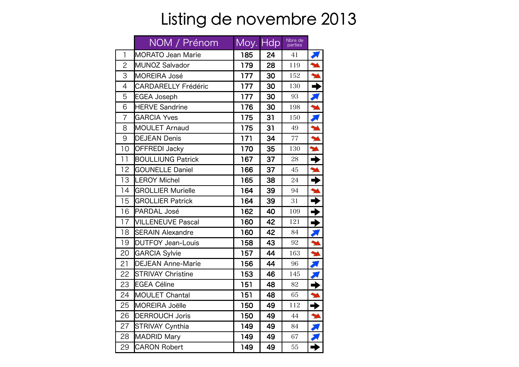## Listing de novembre 2013

|                | NOM / Prénom               | Moy. Hdp |    | Nbre de<br>parties |                       |
|----------------|----------------------------|----------|----|--------------------|-----------------------|
| $\overline{1}$ | <b>MORATO Jean Marie</b>   | 185      | 24 | 41                 |                       |
| $\overline{2}$ | <b>MUNOZ Salvador</b>      | 179      | 28 | 119                |                       |
| 3              | <b>MOREIRA José</b>        | 177      | 30 | 152                |                       |
| $\overline{4}$ | <b>CARDARELLY Frédéric</b> | 177      | 30 | 130                |                       |
| 5              | <b>EGEA Joseph</b>         | 177      | 30 | 93                 |                       |
| 6              | <b>HERVE Sandrine</b>      | 176      | 30 | 198                |                       |
| $\overline{7}$ | <b>GARCIA Yves</b>         | 175      | 31 | 150                |                       |
| 8              | MOULET Arnaud              | 175      | 31 | 49                 |                       |
| 9              | <b>DEJEAN Denis</b>        | 171      | 34 | 77                 | ¥                     |
| 10             | <b>OFFREDI Jacky</b>       | 170      | 35 | 130                | M                     |
| 11             | <b>BOULLIUNG Patrick</b>   | 167      | 37 | 28                 | →                     |
| 12             | <b>GOUNELLE Daniel</b>     | 166      | 37 | 45                 | M                     |
| 13             | <b>LEROY Michel</b>        | 165      | 38 | 24                 | →                     |
| 14             | <b>GROLLIER Murielle</b>   | 164      | 39 | 94                 |                       |
| 15             | <b>GROLLIER Patrick</b>    | 164      | 39 | 31                 | →                     |
| 16             | PARDAL José                | 162      | 40 | 109                | →                     |
| 17             | <b>VILLENEUVE Pascal</b>   | 160      | 42 | 121                | →                     |
| 18             | <b>SERAIN Alexandre</b>    | 160      | 42 | 84                 |                       |
| 19             | <b>DUTFOY Jean-Louis</b>   | 158      | 43 | 92                 | M                     |
| 20             | <b>GARCIA Sylvie</b>       | 157      | 44 | 163                | M                     |
| 21             | <b>DEJEAN Anne-Marie</b>   | 156      | 44 | 96                 |                       |
| 22             | <b>STRIVAY Christine</b>   | 153      | 46 | 145                |                       |
| 23             | <b>EGEA Céline</b>         | 151      | 48 | 82                 |                       |
| 24             | <b>MOULET Chantal</b>      | 151      | 48 | 65                 | M                     |
| 25             | <b>MOREIRA Joëlle</b>      | 150      | 49 | 112                | →                     |
| 26             | <b>DERROUCH Joris</b>      | 150      | 49 | 44                 | $\blacktriangleright$ |
| 27             | <b>STRIVAY Cynthia</b>     | 149      | 49 | 84                 |                       |
| 28             | <b>MADRID Mary</b>         | 149      | 49 | 67                 |                       |
| 29             | <b>CARON Robert</b>        | 149      | 49 | 55                 |                       |